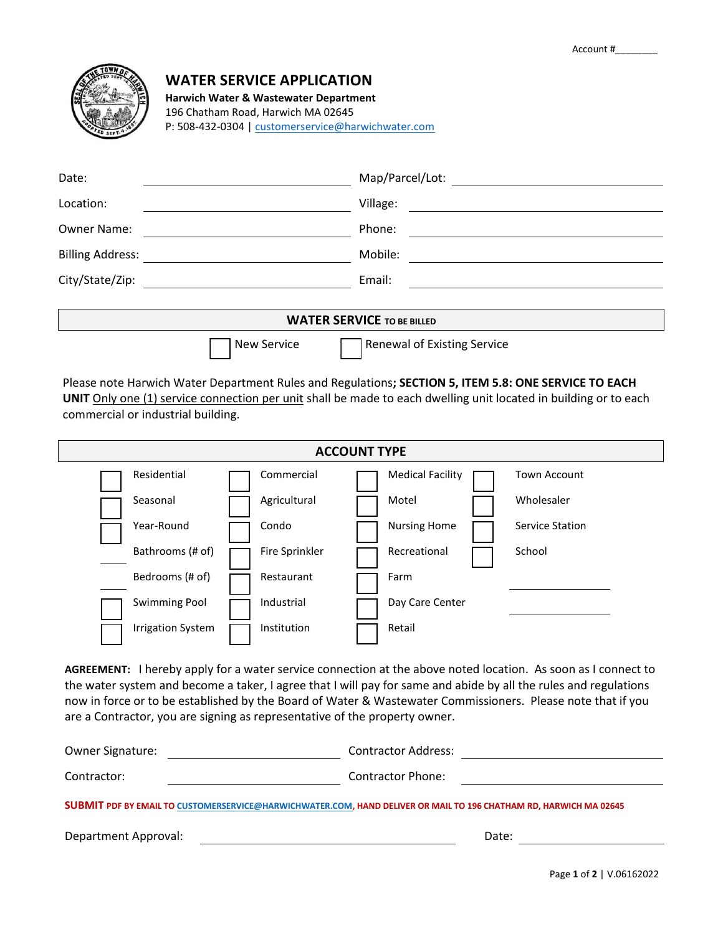

# **WATER SERVICE APPLICATION**

**Harwich Water & Wastewater Department** 196 Chatham Road, Harwich MA 02645

P: 508-432-0304 | [customerservice@harwichwater.com](mailto:customerservice@harwichwater.com)

| Date:                             |                    | Map/Parcel/Lot:                    |  |  |  |  |
|-----------------------------------|--------------------|------------------------------------|--|--|--|--|
| Location:                         |                    | Village:                           |  |  |  |  |
| <b>Owner Name:</b>                |                    | Phone:                             |  |  |  |  |
| <b>Billing Address:</b>           |                    | Mobile:                            |  |  |  |  |
| City/State/Zip:                   |                    | Email:                             |  |  |  |  |
|                                   |                    |                                    |  |  |  |  |
| <b>WATER SERVICE TO BE BILLED</b> |                    |                                    |  |  |  |  |
|                                   | <b>New Service</b> | <b>Renewal of Existing Service</b> |  |  |  |  |

Please note Harwich Water Department Rules and Regulations**; SECTION 5, ITEM 5.8: ONE SERVICE TO EACH UNIT** Only one (1) service connection per unit shall be made to each dwelling unit located in building or to each commercial or industrial building.

| <b>ACCOUNT TYPE</b> |                          |  |                |  |                         |  |                        |  |
|---------------------|--------------------------|--|----------------|--|-------------------------|--|------------------------|--|
|                     | Residential              |  | Commercial     |  | <b>Medical Facility</b> |  | <b>Town Account</b>    |  |
|                     | Seasonal                 |  | Agricultural   |  | Motel                   |  | Wholesaler             |  |
|                     | Year-Round               |  | Condo          |  | <b>Nursing Home</b>     |  | <b>Service Station</b> |  |
|                     | Bathrooms (# of)         |  | Fire Sprinkler |  | Recreational            |  | School                 |  |
|                     | Bedrooms (# of)          |  | Restaurant     |  | Farm                    |  |                        |  |
|                     | <b>Swimming Pool</b>     |  | Industrial     |  | Day Care Center         |  |                        |  |
|                     | <b>Irrigation System</b> |  | Institution    |  | Retail                  |  |                        |  |

**AGREEMENT:** I hereby apply for a water service connection at the above noted location. As soon as I connect to the water system and become a taker, I agree that I will pay for same and abide by all the rules and regulations now in force or to be established by the Board of Water & Wastewater Commissioners. Please note that if you are a Contractor, you are signing as representative of the property owner.

| Owner Signature:                                                                                                  | Contractor Address: |  |  |  |  |  |
|-------------------------------------------------------------------------------------------------------------------|---------------------|--|--|--|--|--|
| Contractor:                                                                                                       | Contractor Phone:   |  |  |  |  |  |
| SUBMIT PDF BY EMAIL TO CUSTOMERSERVICE@HARWICHWATER.COM, HAND DELIVER OR MAIL TO 196 CHATHAM RD, HARWICH MA 02645 |                     |  |  |  |  |  |

Department Approval: Notified a state of the state of the state of the Date: Date: Note: Note: Note:  $\Box$  Date:  $\Box$